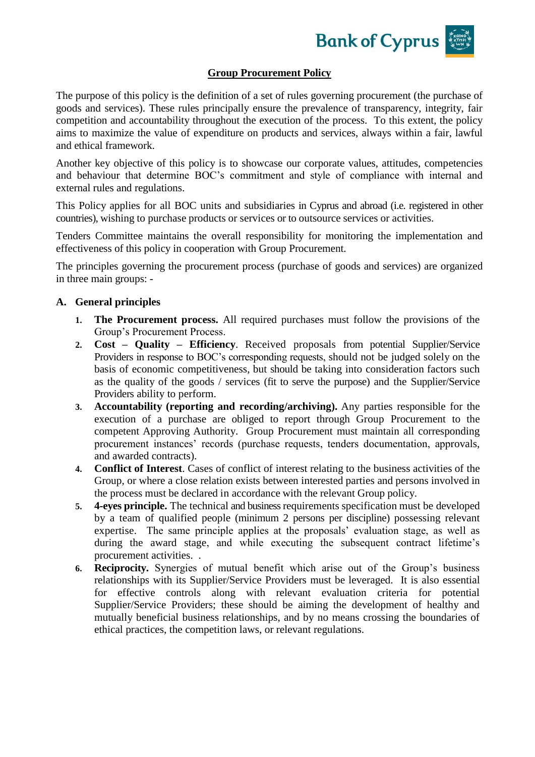**Bank of Cyprus** 

## **Group Procurement Policy**

The purpose of this policy is the definition of a set of rules governing procurement (the purchase of goods and services). These rules principally ensure the prevalence of transparency, integrity, fair competition and accountability throughout the execution of the process. To this extent, the policy aims to maximize the value of expenditure on products and services, always within a fair, lawful and ethical framework.

Another key objective of this policy is to showcase our corporate values, attitudes, competencies and behaviour that determine BOC's commitment and style of compliance with internal and external rules and regulations.

This Policy applies for all BOC units and subsidiaries in Cyprus and abroad (i.e. registered in other countries), wishing to purchase products or services or to outsource services or activities.

Tenders Committee maintains the overall responsibility for monitoring the implementation and effectiveness of this policy in cooperation with Group Procurement.

The principles governing the procurement process (purchase of goods and services) are organized in three main groups: -

## **A. General principles**

- **1. The Procurement process.** All required purchases must follow the provisions of the Group's Procurement Process.
- **2. Cost – Quality – Efficiency**. Received proposals from potential Supplier/Service Providers in response to BOC's corresponding requests, should not be judged solely on the basis of economic competitiveness, but should be taking into consideration factors such as the quality of the goods / services (fit to serve the purpose) and the Supplier/Service Providers ability to perform.
- **3. Accountability (reporting and recording/archiving).** Any parties responsible for the execution of a purchase are obliged to report through Group Procurement to the competent Approving Authority. Group Procurement must maintain all corresponding procurement instances' records (purchase requests, tenders documentation, approvals, and awarded contracts).
- **4. Conflict of Interest**. Cases of conflict of interest relating to the business activities of the Group, or where a close relation exists between interested parties and persons involved in the process must be declared in accordance with the relevant Group policy.
- **5. 4-eyes principle.** The technical and business requirements specification must be developed by a team of qualified people (minimum 2 persons per discipline) possessing relevant expertise. The same principle applies at the proposals' evaluation stage, as well as during the award stage, and while executing the subsequent contract lifetime's procurement activities. .
- **6. Reciprocity.** Synergies of mutual benefit which arise out of the Group's business relationships with its Supplier/Service Providers must be leveraged. It is also essential for effective controls along with relevant evaluation criteria for potential Supplier/Service Providers; these should be aiming the development of healthy and mutually beneficial business relationships, and by no means crossing the boundaries of ethical practices, the competition laws, or relevant regulations.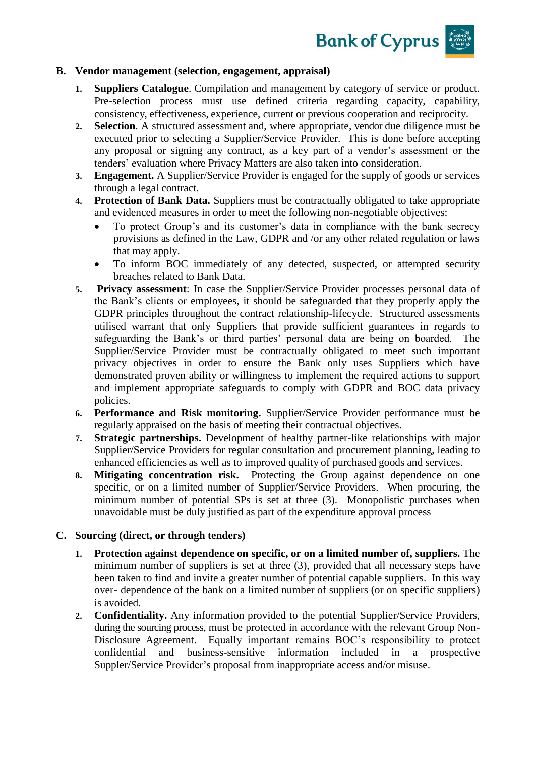**Bank of Cyprus** 

## **B. Vendor management (selection, engagement, appraisal)**

- **1. Suppliers Catalogue**. Compilation and management by category of service or product. Pre-selection process must use defined criteria regarding capacity, capability, consistency, effectiveness, experience, current or previous cooperation and reciprocity.
- **2. Selection**. A structured assessment and, where appropriate, vendor due diligence must be executed prior to selecting a Supplier/Service Provider. This is done before accepting any proposal or signing any contract, as a key part of a vendor's assessment or the tenders' evaluation where Privacy Matters are also taken into consideration.
- **3. Engagement.** A Supplier/Service Provider is engaged for the supply of goods or services through a legal contract.
- **4. Protection of Bank Data.** Suppliers must be contractually obligated to take appropriate and evidenced measures in order to meet the following non-negotiable objectives:
	- To protect Group's and its customer's data in compliance with the bank secrecy provisions as defined in the Law, GDPR and /or any other related regulation or laws that may apply.
	- To inform BOC immediately of any detected, suspected, or attempted security breaches related to Bank Data.
- **5. Privacy assessment**: In case the Supplier/Service Provider processes personal data of the Bank's clients or employees, it should be safeguarded that they properly apply the GDPR principles throughout the contract relationship-lifecycle. Structured assessments utilised warrant that only Suppliers that provide sufficient guarantees in regards to safeguarding the Bank's or third parties' personal data are being on boarded. The Supplier/Service Provider must be contractually obligated to meet such important privacy objectives in order to ensure the Bank only uses Suppliers which have demonstrated proven ability or willingness to implement the required actions to support and implement appropriate safeguards to comply with GDPR and BOC data privacy policies.
- **6. Performance and Risk monitoring.** Supplier/Service Provider performance must be regularly appraised on the basis of meeting their contractual objectives.
- **7. Strategic partnerships.** Development of healthy partner-like relationships with major Supplier/Service Providers for regular consultation and procurement planning, leading to enhanced efficiencies as well as to improved quality of purchased goods and services.
- **8. Mitigating concentration risk.** Protecting the Group against dependence on one specific, or on a limited number of Supplier/Service Providers. When procuring, the minimum number of potential SPs is set at three (3). Monopolistic purchases when unavoidable must be duly justified as part of the expenditure approval process

## **C. Sourcing (direct, or through tenders)**

- **1. Protection against dependence on specific, or on a limited number of, suppliers.** The minimum number of suppliers is set at three (3), provided that all necessary steps have been taken to find and invite a greater number of potential capable suppliers. In this way over- dependence of the bank on a limited number of suppliers (or on specific suppliers) is avoided.
- **2. Confidentiality.** Any information provided to the potential Supplier/Service Providers, during the sourcing process, must be protected in accordance with the relevant Group Non-Disclosure Agreement. Equally important remains BOC's responsibility to protect confidential and business-sensitive information included in a prospective Suppler/Service Provider's proposal from inappropriate access and/or misuse.